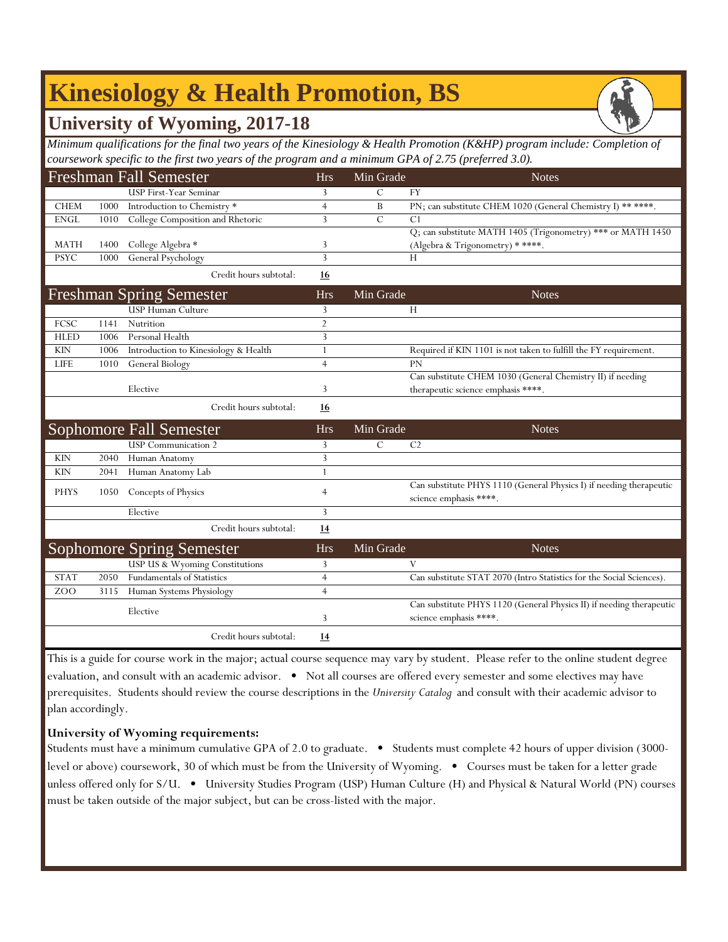# **Kinesiology & Health Promotion, BS**

## **University of Wyoming, 2017-18**

*Minimum qualifications for the final two years of the Kinesiology & Health Promotion (K&HP) program include: Completion of coursework specific to the first two years of the program and a minimum GPA of 2.75 (preferred 3.0).*

|             |      | <b>Freshman Fall Semester</b>        | <b>Hrs</b>     | Min Grade      | <b>Notes</b>                                                                                   |
|-------------|------|--------------------------------------|----------------|----------------|------------------------------------------------------------------------------------------------|
|             |      | <b>USP First-Year Seminar</b>        | 3              | $\overline{C}$ | <b>FY</b>                                                                                      |
| <b>CHEM</b> | 1000 | Introduction to Chemistry *          | $\overline{4}$ | B              | PN; can substitute CHEM 1020 (General Chemistry I) ** ****.                                    |
| <b>ENGL</b> | 1010 | College Composition and Rhetoric     | 3              | $\mathcal{C}$  | C <sub>1</sub>                                                                                 |
|             |      |                                      |                |                | Q; can substitute MATH 1405 (Trigonometry) *** or MATH 1450                                    |
| <b>MATH</b> | 1400 | College Algebra *                    | 3              |                | (Algebra & Trigonometry) * ****.                                                               |
| <b>PSYC</b> | 1000 | General Psychology                   | $\overline{3}$ |                | Н                                                                                              |
|             |      | Credit hours subtotal:               | <b>16</b>      |                |                                                                                                |
|             |      | <b>Freshman Spring Semester</b>      | <b>Hrs</b>     | Min Grade      | <b>Notes</b>                                                                                   |
|             |      | <b>USP Human Culture</b>             | 3              |                | H                                                                                              |
| FCSC        | 1141 | Nutrition                            | $\overline{2}$ |                |                                                                                                |
| <b>HLED</b> | 1006 | Personal Health                      | 3              |                |                                                                                                |
| <b>KIN</b>  | 1006 | Introduction to Kinesiology & Health | $\mathbf{1}$   |                | Required if KIN 1101 is not taken to fulfill the FY requirement.                               |
| <b>LIFE</b> | 1010 | General Biology                      | $\overline{4}$ |                | <b>PN</b>                                                                                      |
|             |      |                                      |                |                | Can substitute CHEM 1030 (General Chemistry II) if needing                                     |
|             |      | Elective                             | 3              |                | therapeutic science emphasis ****.                                                             |
|             |      | Credit hours subtotal:               | 16             |                |                                                                                                |
|             |      | <b>Sophomore Fall Semester</b>       | <b>Hrs</b>     | Min Grade      | <b>Notes</b>                                                                                   |
|             |      | <b>USP</b> Communication 2           | 3              | $\overline{C}$ | C <sub>2</sub>                                                                                 |
| <b>KIN</b>  | 2040 | Human Anatomy                        | 3              |                |                                                                                                |
| <b>KIN</b>  | 2041 | Human Anatomy Lab                    |                |                |                                                                                                |
| <b>PHYS</b> | 1050 | Concepts of Physics                  | $\overline{4}$ |                | Can substitute PHYS 1110 (General Physics I) if needing therapeutic<br>science emphasis ****.  |
|             |      | Elective                             | 3              |                |                                                                                                |
|             |      | Credit hours subtotal:               | 14             |                |                                                                                                |
|             |      | <b>Sophomore Spring Semester</b>     | <b>Hrs</b>     | Min Grade      | <b>Notes</b>                                                                                   |
|             |      | USP US & Wyoming Constitutions       | 3              |                | V                                                                                              |
| <b>STAT</b> | 2050 | <b>Fundamentals of Statistics</b>    | $\overline{4}$ |                | Can substitute STAT 2070 (Intro Statistics for the Social Sciences).                           |
| ZOO         | 3115 | Human Systems Physiology             | $\overline{4}$ |                |                                                                                                |
|             |      | Elective                             | 3              |                | Can substitute PHYS 1120 (General Physics II) if needing therapeutic<br>science emphasis ****. |
|             |      | Credit hours subtotal:               | 14             |                |                                                                                                |

This is a guide for course work in the major; actual course sequence may vary by student. Please refer to the online student degree evaluation, and consult with an academic advisor. • Not all courses are offered every semester and some electives may have prerequisites. Students should review the course descriptions in the *University Catalog* and consult with their academic advisor to plan accordingly.

## **University of Wyoming requirements:**

Students must have a minimum cumulative GPA of 2.0 to graduate. • Students must complete 42 hours of upper division (3000 level or above) coursework, 30 of which must be from the University of Wyoming. • Courses must be taken for a letter grade unless offered only for S/U. • University Studies Program (USP) Human Culture (H) and Physical & Natural World (PN) courses must be taken outside of the major subject, but can be cross-listed with the major.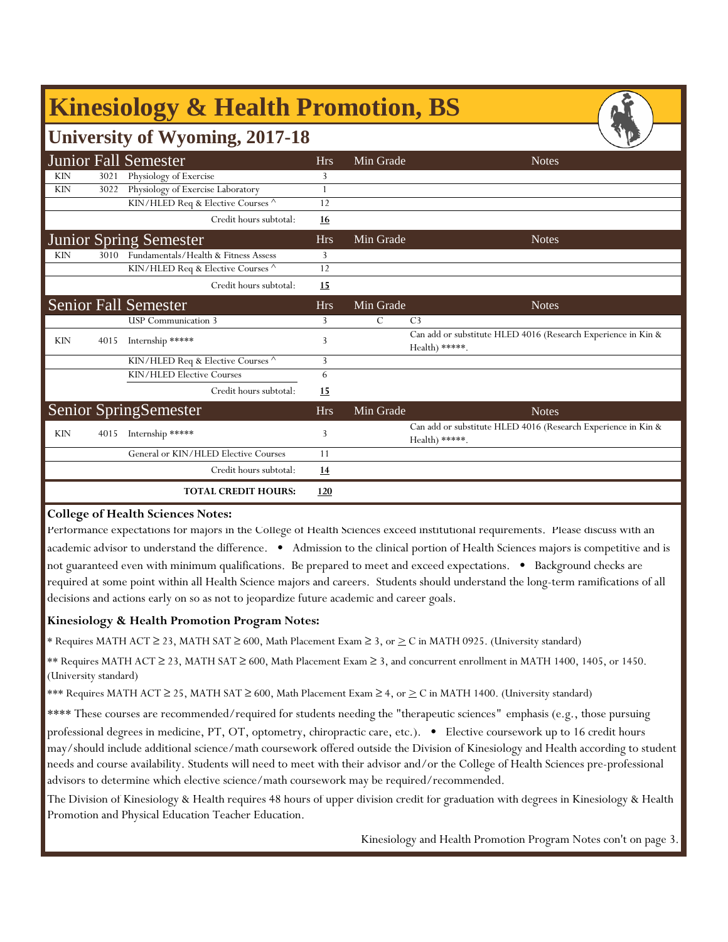|            | <b>Kinesiology &amp; Health Promotion, BS</b> |                                      |            |               |                                                                                  |  |  |  |  |  |
|------------|-----------------------------------------------|--------------------------------------|------------|---------------|----------------------------------------------------------------------------------|--|--|--|--|--|
|            | <b>University of Wyoming, 2017-18</b>         |                                      |            |               |                                                                                  |  |  |  |  |  |
|            |                                               | <b>Junior Fall Semester</b>          | <b>Hrs</b> | Min Grade     | <b>Notes</b>                                                                     |  |  |  |  |  |
| <b>KIN</b> | 3021                                          | Physiology of Exercise               | 3          |               |                                                                                  |  |  |  |  |  |
| <b>KIN</b> | 3022                                          | Physiology of Exercise Laboratory    | 1          |               |                                                                                  |  |  |  |  |  |
|            |                                               | KIN/HLED Req & Elective Courses ^    | 12         |               |                                                                                  |  |  |  |  |  |
|            |                                               | Credit hours subtotal:               | 16         |               |                                                                                  |  |  |  |  |  |
|            |                                               | <b>Junior Spring Semester</b>        | <b>Hrs</b> | Min Grade     | <b>Notes</b>                                                                     |  |  |  |  |  |
| <b>KIN</b> | 3010                                          | Fundamentals/Health & Fitness Assess | 3          |               |                                                                                  |  |  |  |  |  |
|            |                                               | KIN/HLED Req & Elective Courses ^    | 12         |               |                                                                                  |  |  |  |  |  |
|            |                                               | Credit hours subtotal:               | 15         |               |                                                                                  |  |  |  |  |  |
|            |                                               | <b>Senior Fall Semester</b>          | <b>Hrs</b> | Min Grade     | <b>Notes</b>                                                                     |  |  |  |  |  |
|            |                                               | <b>USP</b> Communication 3           | 3          | $\mathcal{C}$ | C <sub>3</sub>                                                                   |  |  |  |  |  |
| <b>KIN</b> | 4015                                          | Internship *****                     | 3          |               | Can add or substitute HLED 4016 (Research Experience in Kin &<br>Health) *****.  |  |  |  |  |  |
|            |                                               | KIN/HLED Req & Elective Courses      | 3          |               |                                                                                  |  |  |  |  |  |
|            |                                               | KIN/HLED Elective Courses            | 6          |               |                                                                                  |  |  |  |  |  |
|            |                                               | Credit hours subtotal:               | 15         |               |                                                                                  |  |  |  |  |  |
|            |                                               | <b>Senior SpringSemester</b>         | <b>Hrs</b> | Min Grade     | <b>Notes</b>                                                                     |  |  |  |  |  |
| <b>KIN</b> | 4015                                          | Internship *****                     | 3          |               | Can add or substitute HLED 4016 (Research Experience in Kin &<br>$Health$ *****. |  |  |  |  |  |
|            |                                               | General or KIN/HLED Elective Courses | 11         |               |                                                                                  |  |  |  |  |  |
|            |                                               | Credit hours subtotal:               | 14         |               |                                                                                  |  |  |  |  |  |
|            |                                               | <b>TOTAL CREDIT HOURS:</b>           | 120        |               |                                                                                  |  |  |  |  |  |

#### **College of Health Sciences Notes:**

Performance expectations for majors in the College of Health Sciences exceed institutional requirements. Please discuss with an academic advisor to understand the difference. • Admission to the clinical portion of Health Sciences majors is competitive and is not guaranteed even with minimum qualifications. Be prepared to meet and exceed expectations. • Background checks are required at some point within all Health Science majors and careers. Students should understand the long-term ramifications of all decisions and actions early on so as not to jeopardize future academic and career goals.

#### **Kinesiology & Health Promotion Program Notes:**

\* Requires MATH ACT ≥ 23, MATH SAT ≥ 600, Math Placement Exam ≥ 3, or > C in MATH 0925. (University standard)

\*\* Requires MATH ACT ≥ 23, MATH SAT ≥ 600, Math Placement Exam ≥ 3, and concurrent enrollment in MATH 1400, 1405, or 1450. (University standard)

\*\*\* Requires MATH ACT ≥ 25, MATH SAT ≥ 600, Math Placement Exam ≥ 4, or > C in MATH 1400. (University standard)

\*\*\*\* These courses are recommended/required for students needing the "therapeutic sciences*"* emphasis (e.g., those pursuing

professional degrees in medicine, PT, OT, optometry, chiropractic care, etc.). • Elective coursework up to 16 credit hours may/should include additional science/math coursework offered outside the Division of Kinesiology and Health according to student needs and course availability. Students will need to meet with their advisor and/or the College of Health Sciences pre-professional advisors to determine which elective science/math coursework may be required/recommended.

The Division of Kinesiology & Health requires 48 hours of upper division credit for graduation with degrees in Kinesiology & Health Promotion and Physical Education Teacher Education.

Kinesiology and Health Promotion Program Notes con't on page 3.